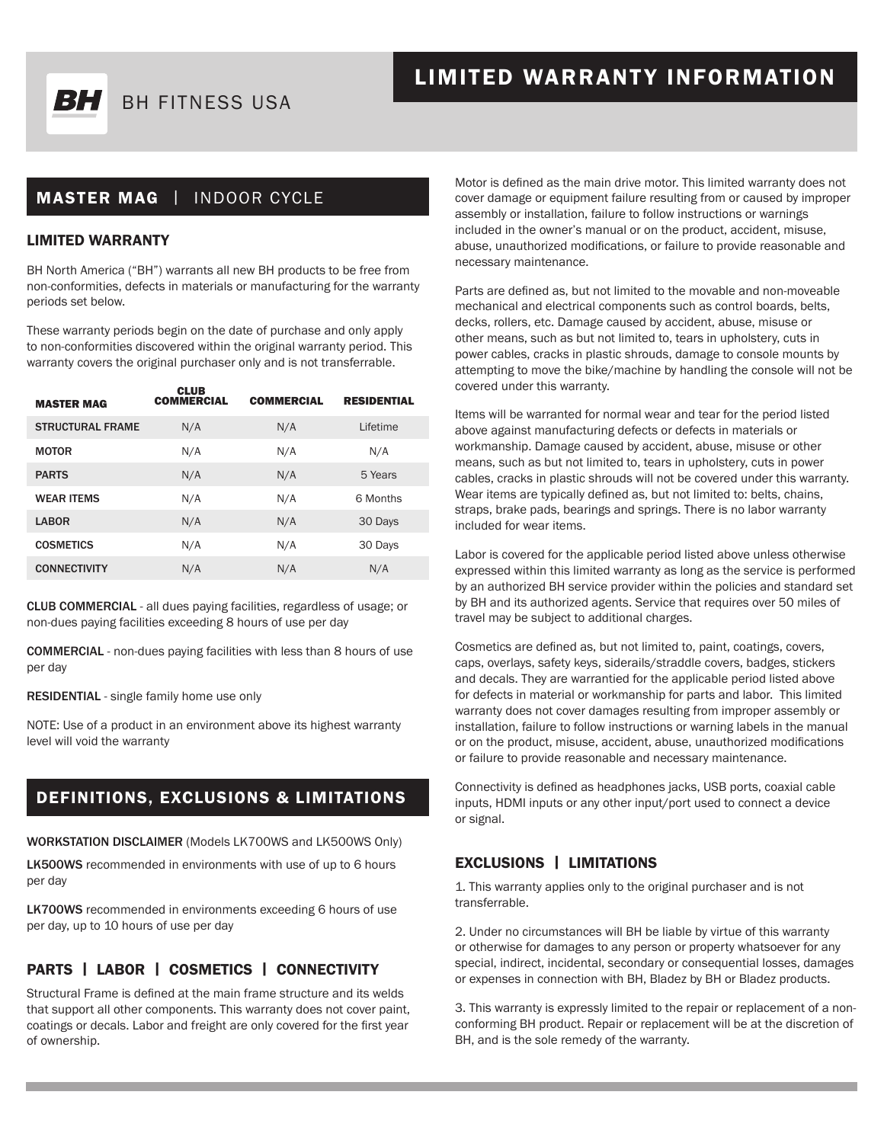

## LIMITED WARRANTY INFORMATION

## MASTER MAG | INDOOR CYCLE

#### LIMITED WARRANTY

BH North America ("BH") warrants all new BH products to be free from non-conformities, defects in materials or manufacturing for the warranty periods set below.

These warranty periods begin on the date of purchase and only apply to non-conformities discovered within the original warranty period. This warranty covers the original purchaser only and is not transferrable.

 $\overline{\phantom{a}}$ 

| <b>MASTER MAG</b>       | CLUB<br><b>COMMERCIAL</b> | <b>COMMERCIAL</b> | <b>RESIDENTIAL</b> |  |
|-------------------------|---------------------------|-------------------|--------------------|--|
| <b>STRUCTURAL FRAME</b> | N/A                       | N/A               | Lifetime           |  |
| <b>MOTOR</b>            | N/A                       | N/A               | N/A                |  |
| <b>PARTS</b>            | N/A                       | N/A               | 5 Years            |  |
| <b>WEAR ITEMS</b>       | N/A                       | N/A               | 6 Months           |  |
| <b>LABOR</b>            | N/A                       | N/A               | 30 Days            |  |
| <b>COSMETICS</b>        | N/A                       | N/A               | 30 Days            |  |
| <b>CONNECTIVITY</b>     | N/A                       | N/A               | N/A                |  |
|                         |                           |                   |                    |  |

CLUB COMMERCIAL - all dues paying facilities, regardless of usage; or non-dues paying facilities exceeding 8 hours of use per day

COMMERCIAL - non-dues paying facilities with less than 8 hours of use per day

RESIDENTIAL - single family home use only

NOTE: Use of a product in an environment above its highest warranty level will void the warranty

## DEFINITIONS, EXCLUSIONS & LIMITATIONS

WORKSTATION DISCLAIMER (Models LK700WS and LK500WS Only)

LK500WS recommended in environments with use of up to 6 hours per day

LK700WS recommended in environments exceeding 6 hours of use per day, up to 10 hours of use per day

### PARTS | LABOR | COSMETICS | CONNECTIVITY

Structural Frame is defined at the main frame structure and its welds that support all other components. This warranty does not cover paint, coatings or decals. Labor and freight are only covered for the first year of ownership.

Motor is defined as the main drive motor. This limited warranty does not cover damage or equipment failure resulting from or caused by improper assembly or installation, failure to follow instructions or warnings included in the owner's manual or on the product, accident, misuse, abuse, unauthorized modifications, or failure to provide reasonable and necessary maintenance.

Parts are defined as, but not limited to the movable and non-moveable mechanical and electrical components such as control boards, belts, decks, rollers, etc. Damage caused by accident, abuse, misuse or other means, such as but not limited to, tears in upholstery, cuts in power cables, cracks in plastic shrouds, damage to console mounts by attempting to move the bike/machine by handling the console will not be covered under this warranty.

Items will be warranted for normal wear and tear for the period listed above against manufacturing defects or defects in materials or workmanship. Damage caused by accident, abuse, misuse or other means, such as but not limited to, tears in upholstery, cuts in power cables, cracks in plastic shrouds will not be covered under this warranty. Wear items are typically defined as, but not limited to: belts, chains, straps, brake pads, bearings and springs. There is no labor warranty included for wear items.

Labor is covered for the applicable period listed above unless otherwise expressed within this limited warranty as long as the service is performed by an authorized BH service provider within the policies and standard set by BH and its authorized agents. Service that requires over 50 miles of travel may be subject to additional charges.

Cosmetics are defined as, but not limited to, paint, coatings, covers, caps, overlays, safety keys, siderails/straddle covers, badges, stickers and decals. They are warrantied for the applicable period listed above for defects in material or workmanship for parts and labor. This limited warranty does not cover damages resulting from improper assembly or installation, failure to follow instructions or warning labels in the manual or on the product, misuse, accident, abuse, unauthorized modifications or failure to provide reasonable and necessary maintenance.

Connectivity is defined as headphones jacks, USB ports, coaxial cable inputs, HDMI inputs or any other input/port used to connect a device or signal.

#### EXCLUSIONS | LIMITATIONS

1. This warranty applies only to the original purchaser and is not transferrable.

2. Under no circumstances will BH be liable by virtue of this warranty or otherwise for damages to any person or property whatsoever for any special, indirect, incidental, secondary or consequential losses, damages or expenses in connection with BH, Bladez by BH or Bladez products.

3. This warranty is expressly limited to the repair or replacement of a nonconforming BH product. Repair or replacement will be at the discretion of BH, and is the sole remedy of the warranty.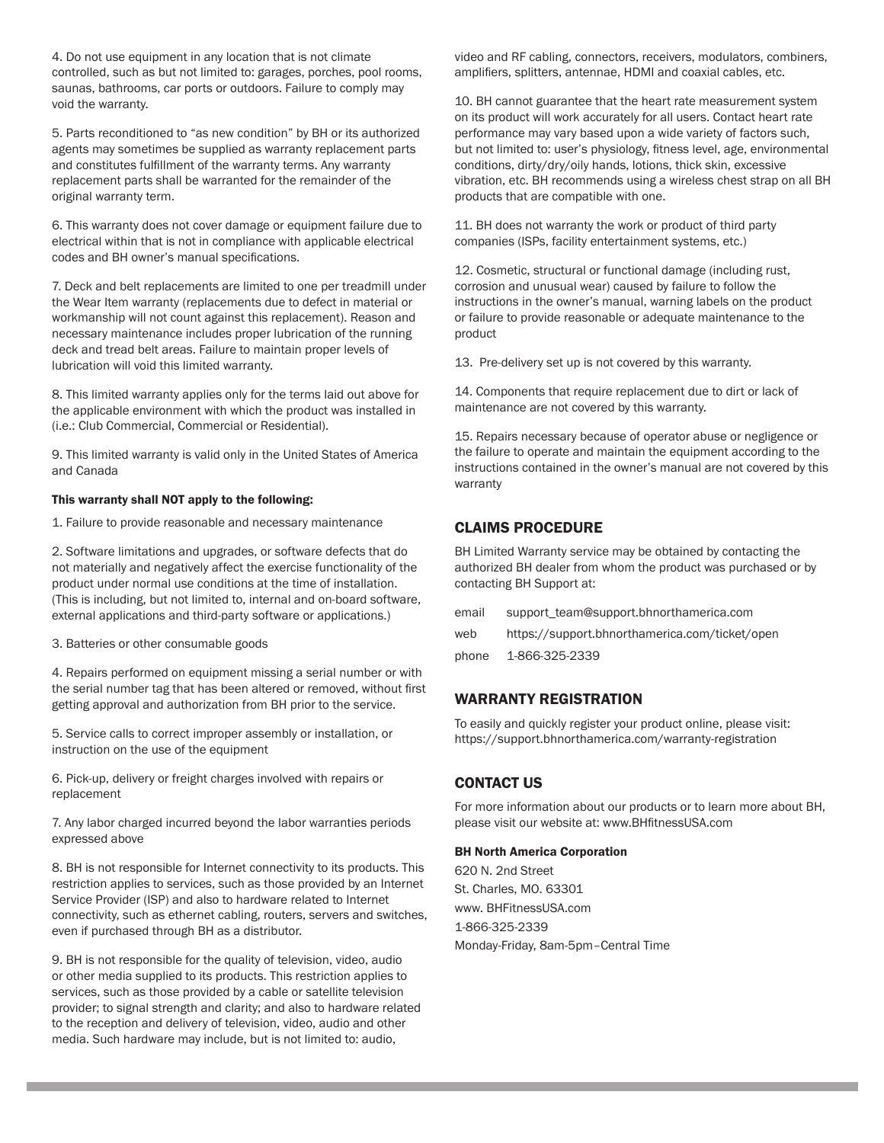4. Do not use equipment in any location that is not climate controlled, such as but not limited to: garages, porches, pool rooms, saunas, bathrooms, car ports or outdoors. Failure to comply may void the warranty.

5. Parts reconditioned to "as new condition" by BH or its authorized agents may sometimes be supplied as warranty replacement parts and constitutes fulfillment of the warranty terms. Any warranty replacement parts shall be warranted for the remainder of the original warranty term.

6. This warranty does not cover damage or equipment failure due to electrical within that is not in compliance with applicable electrical codes and BH owner's manual specifications.

7. Deck and belt replacements are limited to one per treadmill under the Wear Item warranty (replacements due to defect in material or workmanship will not count against this replacement). Reason and necessary maintenance includes proper lubrication of the running deck and tread belt areas. Failure to maintain proper levels of lubrication will void this limited warranty.

8. This limited warranty applies only for the terms laid out above for the applicable environment with which the product was installed in (i.e.: Club Commercial, Commercial or Residential).

9. This limited warranty is valid only in the United States of America and Canada

#### This warranty shall NOT apply to the following:

1. Failure to provide reasonable and necessary maintenance

2. Software limitations and upgrades, or software defects that do not materially and negatively affect the exercise functionality of the product under normal use conditions at the time of installation. (This is including, but not limited to, internal and on-board software, external applications and third-party software or applications.)

3. Batteries or other consumable goods

4. Repairs performed on equipment missing a serial number or with the serial number tag that has been altered or removed, without first getting approval and authorization from BH prior to the service.

5. Service calls to correct improper assembly or installation, or instruction on the use of the equipment

6. Pick-up, delivery or freight charges involved with repairs or replacement

7. Any labor charged incurred beyond the labor warranties periods expressed above

8. BH is not responsible for Internet connectivity to its products. This restriction applies to services, such as those provided by an Internet Service Provider (ISP) and also to hardware related to Internet connectivity, such as ethernet cabling, routers, servers and switches, even if purchased through BH as a distributor.

9. BH is not responsible for the quality of television, video, audio or other media supplied to its products. This restriction applies to services, such as those provided by a cable or satellite television provider; to signal strength and clarity; and also to hardware related to the reception and delivery of television, video, audio and other media. Such hardware may include, but is not limited to: audio,

video and RF cabling, connectors, receivers, modulators, combiners, amplifiers, splitters, antennae, HDMI and coaxial cables, etc.

10. BH cannot guarantee that the heart rate measurement system on its product will work accurately for all users. Contact heart rate performance may vary based upon a wide variety of factors such, but not limited to: user's physiology, fitness level, age, environmental conditions, dirty/dry/oily hands, lotions, thick skin, excessive vibration, etc. BH recommends using a wireless chest strap on all BH products that are compatible with one.

11. BH does not warranty the work or product of third party companies (ISPs, facility entertainment systems, etc.)

12. Cosmetic, structural or functional damage (including rust, corrosion and unusual wear) caused by failure to follow the instructions in the owner's manual, warning labels on the product or failure to provide reasonable or adequate maintenance to the product

13. Pre-delivery set up is not covered by this warranty.

14. Components that require replacement due to dirt or lack of maintenance are not covered by this warranty.

15. Repairs necessary because of operator abuse or negligence or the failure to operate and maintain the equipment according to the instructions contained in the owner's manual are not covered by this warranty

#### CLAIMS PROCEDURE

BH Limited Warranty service may be obtained by contacting the authorized BH dealer from whom the product was purchased or by contacting BH Support at:

| email | support team@support.bhnorthamerica.com        |
|-------|------------------------------------------------|
| web   | https://support.bhnorthamerica.com/ticket/open |
| phone | 1-866-325-2339                                 |

#### WARRANTY REGISTRATION

To easily and quickly register your product online, please visit: https://support.bhnorthamerica.com/warranty-registration

#### CONTACT US

For more information about our products or to learn more about BH, please visit our website at: www.BHfitnessUSA.com

#### BH North America Corporation

620 N. 2nd Street St. Charles, MO. 63301 www. BHFitnessUSA.com 1-866-325-2339 Monday-Friday, 8am-5pm–Central Time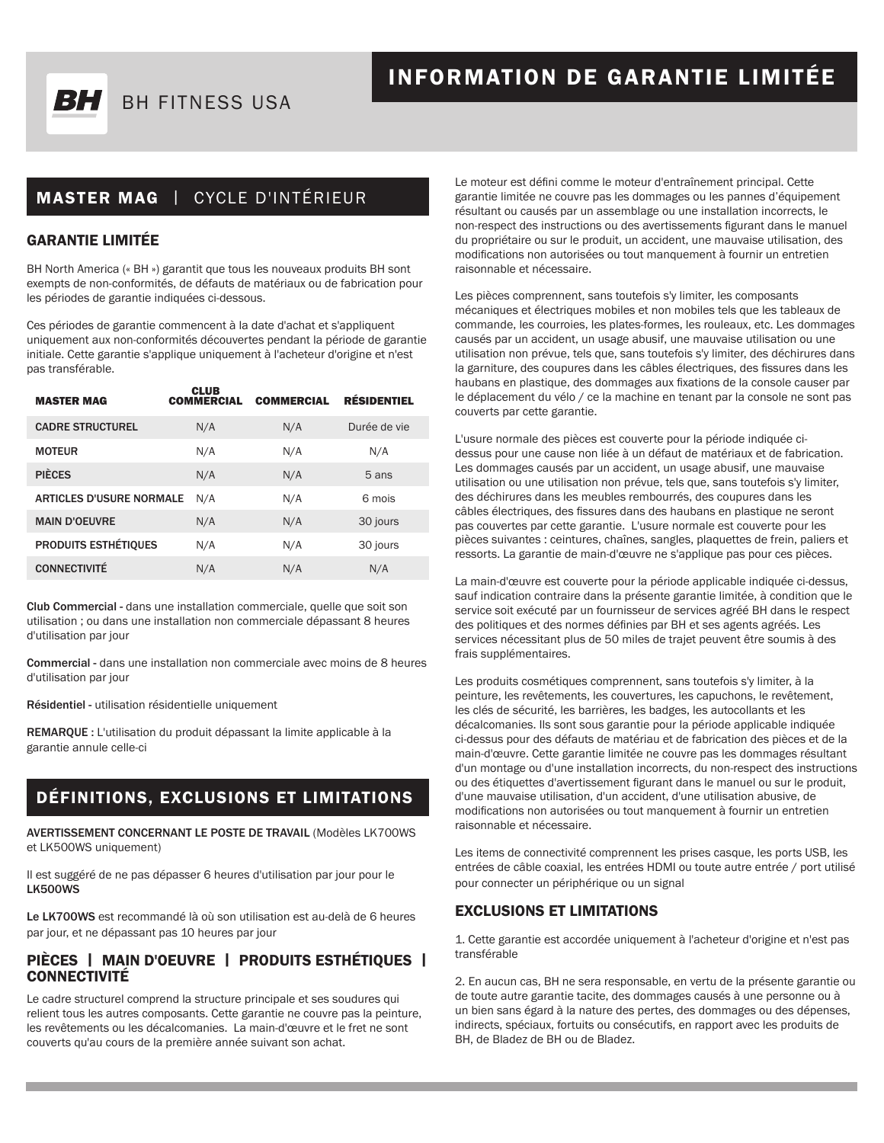

## MASTER MAG | CYCLE D'INTÉRIEUR

#### GARANTIE LIMITÉE

BH North America (« BH ») garantit que tous les nouveaux produits BH sont exempts de non-conformités, de défauts de matériaux ou de fabrication pour les périodes de garantie indiquées ci-dessous.

Ces périodes de garantie commencent à la date d'achat et s'appliquent uniquement aux non-conformités découvertes pendant la période de garantie initiale. Cette garantie s'applique uniquement à l'acheteur d'origine et n'est pas transférable.

| <b>MASTER MAG</b>               | <b>CLUB</b><br><b>COMMERCIAL</b> | <b>COMMERCIAL</b> | <b>RÉSIDENTIEL</b> |
|---------------------------------|----------------------------------|-------------------|--------------------|
| <b>CADRE STRUCTUREL</b>         | N/A                              | N/A               | Durée de vie       |
| <b>MOTEUR</b>                   | N/A                              | N/A               | N/A                |
| <b>PIÈCES</b>                   | N/A                              | N/A               | 5 ans              |
| <b>ARTICLES D'USURE NORMALE</b> | N/A                              | N/A               | 6 mois             |
| <b>MAIN D'OEUVRE</b>            | N/A                              | N/A               | 30 jours           |
| <b>PRODUITS ESTHÉTIQUES</b>     | N/A                              | N/A               | 30 jours           |
| <b>CONNECTIVITÉ</b>             | N/A                              | N/A               | N/A                |

Club Commercial - dans une installation commerciale, quelle que soit son utilisation ; ou dans une installation non commerciale dépassant 8 heures d'utilisation par jour

Commercial - dans une installation non commerciale avec moins de 8 heures d'utilisation par jour

Résidentiel - utilisation résidentielle uniquement

REMARQUE : L'utilisation du produit dépassant la limite applicable à la garantie annule celle-ci

## DÉFINITIONS, EXCLUSIONS ET LIMITATIONS

AVERTISSEMENT CONCERNANT LE POSTE DE TRAVAIL (Modèles LK700WS et LK500WS uniquement)

Il est suggéré de ne pas dépasser 6 heures d'utilisation par jour pour le LK500WS

Le LK700WS est recommandé là où son utilisation est au-delà de 6 heures par jour, et ne dépassant pas 10 heures par jour

# PIÈCES | MAIN D'OEUVRE | PRODUITS ESTHÉTIQUES | CONNECTIVITÉ

Le cadre structurel comprend la structure principale et ses soudures qui relient tous les autres composants. Cette garantie ne couvre pas la peinture, les revêtements ou les décalcomanies. La main-d'œuvre et le fret ne sont couverts qu'au cours de la première année suivant son achat.

Le moteur est défini comme le moteur d'entraînement principal. Cette garantie limitée ne couvre pas les dommages ou les pannes d'équipement résultant ou causés par un assemblage ou une installation incorrects, le non-respect des instructions ou des avertissements figurant dans le manuel du propriétaire ou sur le produit, un accident, une mauvaise utilisation, des modifications non autorisées ou tout manquement à fournir un entretien raisonnable et nécessaire.

Les pièces comprennent, sans toutefois s'y limiter, les composants mécaniques et électriques mobiles et non mobiles tels que les tableaux de commande, les courroies, les plates-formes, les rouleaux, etc. Les dommages causés par un accident, un usage abusif, une mauvaise utilisation ou une utilisation non prévue, tels que, sans toutefois s'y limiter, des déchirures dans la garniture, des coupures dans les câbles électriques, des fissures dans les haubans en plastique, des dommages aux fixations de la console causer par le déplacement du vélo / ce la machine en tenant par la console ne sont pas couverts par cette garantie.

L'usure normale des pièces est couverte pour la période indiquée cidessus pour une cause non liée à un défaut de matériaux et de fabrication. Les dommages causés par un accident, un usage abusif, une mauvaise utilisation ou une utilisation non prévue, tels que, sans toutefois s'y limiter, des déchirures dans les meubles rembourrés, des coupures dans les câbles électriques, des fissures dans des haubans en plastique ne seront pas couvertes par cette garantie. L'usure normale est couverte pour les pièces suivantes : ceintures, chaînes, sangles, plaquettes de frein, paliers et ressorts. La garantie de main-d'œuvre ne s'applique pas pour ces pièces.

La main-d'œuvre est couverte pour la période applicable indiquée ci-dessus, sauf indication contraire dans la présente garantie limitée, à condition que le service soit exécuté par un fournisseur de services agréé BH dans le respect des politiques et des normes définies par BH et ses agents agréés. Les services nécessitant plus de 50 miles de trajet peuvent être soumis à des frais supplémentaires.

Les produits cosmétiques comprennent, sans toutefois s'y limiter, à la peinture, les revêtements, les couvertures, les capuchons, le revêtement, les clés de sécurité, les barrières, les badges, les autocollants et les décalcomanies. Ils sont sous garantie pour la période applicable indiquée ci-dessus pour des défauts de matériau et de fabrication des pièces et de la main-d'œuvre. Cette garantie limitée ne couvre pas les dommages résultant d'un montage ou d'une installation incorrects, du non-respect des instructions ou des étiquettes d'avertissement figurant dans le manuel ou sur le produit, d'une mauvaise utilisation, d'un accident, d'une utilisation abusive, de modifications non autorisées ou tout manquement à fournir un entretien raisonnable et nécessaire.

Les items de connectivité comprennent les prises casque, les ports USB, les entrées de câble coaxial, les entrées HDMI ou toute autre entrée / port utilisé pour connecter un périphérique ou un signal

#### EXCLUSIONS ET LIMITATIONS

1. Cette garantie est accordée uniquement à l'acheteur d'origine et n'est pas transférable

2. En aucun cas, BH ne sera responsable, en vertu de la présente garantie ou de toute autre garantie tacite, des dommages causés à une personne ou à un bien sans égard à la nature des pertes, des dommages ou des dépenses, indirects, spéciaux, fortuits ou consécutifs, en rapport avec les produits de BH, de Bladez de BH ou de Bladez.